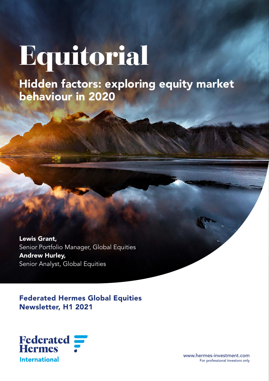# Equitorial

Hidden factors: exploring equity market behaviour in 2020

Lewis Grant, Senior Portfolio Manager, Global Equities Andrew Hurley, Senior Analyst, Global Equities

Federated Hermes Global Equities Newsletter, H1 2021



www.hermes-investment.com For professional investors only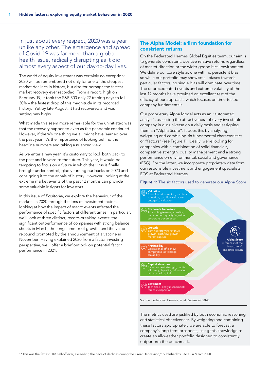In just about every respect, 2020 was a year unlike any other. The emergence and spread of Covid-19 was far more than a global health issue, radically disrupting as it did almost every aspect of our day-to-day lives.

The world of equity investment was certainly no exception: 2020 will be remembered not only for one of the steepest market declines in history, but also for perhaps the fastest market recovery ever recorded. From a record high on February 19, it took the S&P 500 only 22 trading days to fall 30% – the fastest drop of this magnitude in its recorded history.1 Yet by late August, it had recovered and was setting new highs.

What made this seem more remarkable for the uninitiated was that the recovery happened even as the pandemic continued. However, if there's one thing we all might have learned over the past year, it's the importance of looking behind the headline numbers and taking a nuanced view.

As we enter a new year, it's customary to look both back to the past and forward to the future. This year, it would be tempting to focus on a future in which the virus is finally brought under control, gladly turning our backs on 2020 and consigning it to the annals of history. However, looking at the extreme market events of the past 12 months can provide some valuable insights for investors.

In this issue of *Equitorial*, we explore the behaviour of the markets in 2020 through the lens of investment factors, looking at how the impact of macro events affected the performance of specific factors at different times. In particular, we'll look at three distinct, record-breaking events: the significant outperformance of companies with strong balance sheets in March, the long summer of growth, and the value rebound prompted by the announcement of a vaccine in November. Having explained 2020 from a factor investing perspective, we'll offer a brief outlook on potential factor performance in 2021.

# The Alpha Model: a firm foundation for consistent returns

On the Federated Hermes Global Equities team, our aim is to generate consistent, positive relative returns regardless of market direction or the wider geopolitical environment. We define our core style as one with no persistent bias, so while our portfolio may show small biases towards particular factors, no single bias will dominate over time. The unprecedented events and extreme volatility of the last 12 months have provided an excellent test of the efficacy of our approach, which focuses on time-tested company fundamentals.

Our proprietary Alpha Model acts as an "automated analyst", assessing the attractiveness of every investable company in our universe on a daily basis and assigning them an "Alpha Score". It does this by analysing, weighting and combining six fundamental characteristics or "factors" (see Figure 1). Ideally, we're looking for companies with a combination of solid financials, competitive strength, quality management and a strong performance on environmental, social and governance (ESG). For the latter, we incorporate proprietary data from our responsible investment and engagement specialists, EOS at Federated Hermes.

Figure 1: The six factors used to generate our Alpha Score



The metrics used are justified by both economic reasoning and statistical effectiveness. By weighting and combining these factors appropriately we are able to forecast a company's long-term prospects, using this knowledge to create an all-weather portfolio designed to consistently outperform the benchmark.

1 "This was the fastest 30% sell-off ever, exceeding the pace of declines during the Great Depression," published by CNBC in March 2020.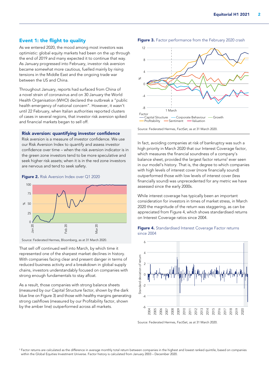## Event 1: the flight to quality

As we entered 2020, the mood among most investors was optimistic: global equity markets had been on the up through the end of 2019 and many expected it to continue that way. As January progressed into February, investor risk aversion became somewhat more cautious, fuelled mainly by rising tensions in the Middle East and the ongoing trade war between the US and China.

Throughout January, reports had surfaced from China of a novel strain of coronavirus and on 30 January the World Health Organisation (WHO) declared the outbreak a "public health emergency of national concern". However, it wasn't until 22 February, when Italian authorities reported clusters of cases in several regions, that investor risk aversion spiked and financial markets began to sell off.

#### Risk aversion: quantifying investor confidence

Risk aversion is a measure of investor confidence. We use our Risk Aversion Index to quantify and assess investor confidence over time – when the risk aversion indicator is in the green zone investors tend to be more speculative and seek higher risk assets; when it is in the red zone investors are nervous and tend to seek safety.



Figure 2. Risk Aversion Index over Q1 2020

Source: Federated Hermes, Bloomberg, as at 31 March 2020.

That sell off continued well into March, by which time it represented one of the sharpest market declines in history. With companies facing clear and present danger in terms of reduced business activity and a breakdown in global supply chains, investors understandably focused on companies with strong enough fundamentals to stay afloat.

As a result, those companies with strong balance sheets (measured by our Capital Structure factor, shown by the dark blue line on Figure 3) and those with healthy margins generating strong cashflows (measured by our Profitability factor, shown by the amber line) outperformed across all markets.



In fact, avoiding companies at risk of bankruptcy was such a high priority in March 2020 that our Interest Coverage factor, which measures the financial soundness of a company's balance sheet, provided the largest factor returns<sup>2</sup> ever seen in our model's history. That is, the degree to which companies with high levels of interest cover (more financially sound) outperformed those with low levels of interest cover (less financially sound) was unprecedented for any metric we have assessed since the early 2000s.

While interest coverage has typically been an important consideration for investors in times of market stress, in March 2020 the magnitude of the return was staggering, as can be appreciated from Figure 4, which shows standardised returns on Interest Coverage ratios since 2004.







<sup>2</sup> Factor returns are calculated as the difference in average monthly total return between companies in the highest and lowest ranked quintile, based on companies within the Global Equities Investment Universe. Factor history is calculated from January 2003 – December 2020.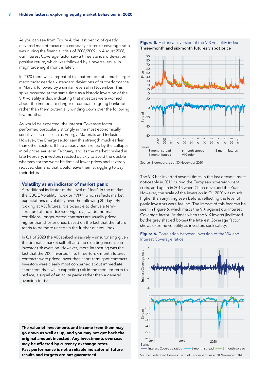As you can see from Figure 4, the last period of greatly elevated market focus on a company's interest coverage ratio was during the financial crisis of 2008/2009. In August 2008, our Interest Coverage factor saw a three standard deviation positive return, which was followed by a reversal equal in magnitude eight months later.

In 2020 there was a repeat of this pattern but at a much larger magnitude: nearly six standard deviations of outperformance in March, followed by a similar reversal in November. This spike occurred at the same time as a historic inversion of the VIX volatility index, indicating that investors were worried about the immediate danger of companies going bankrupt rather than them potentially winding down over the following few months.

As would be expected, the Interest Coverage factor performed particularly strongly in the most economically sensitive sectors, such as Energy, Materials and Industrials. However, the Energy sector saw this strength much earlier than other sectors. It had already been roiled by the collapse in oil prices earlier in February, and as the market crashed in late February, investors reacted quickly to avoid the double whammy for the worst hit firms of lower prices and severely reduced demand that would leave them struggling to pay their debts.

#### Volatility as an indicator of market panic

A traditional indicator of the level of "fear" in the market is the CBOE Volatility Index or "VIX", which reflects market expectations of volatility over the following 30 days. By looking at VIX futures, it is possible to derive a termstructure of the index (see Figure 5). Under normal conditions, longer-dated contracts are usually priced higher than shorter ones, based on the fact that the future tends to be more uncertain the further out you look.

In Q1 of 2020 the VIX spiked massively – unsurprising given the dramatic market sell-off and the resulting increase in investor risk aversion. However, more interesting was the fact that the VIX "inverted" i.e. three-to-six-month futures contracts were priced lower than short-term spot contracts. Investors were clearly most concerned about immediate short-term risks while expecting risk in the medium-term to reduce, a signal of an acute panic rather than a general aversion to risk.

The value of investments and income from them may go down as well as up, and you may not get back the original amount invested. Any investments overseas may be affected by currency exchange rates. Past performance is not a reliable indicator of future results and targets are not guaranteed.





The VIX has inverted several times in the last decade, most noticeably in 2011 during the European sovereign debt crisis, and again in 2015 when China devalued the Yuan. However, the scale of the inversion in Q1 2020 was much higher than anything seen before, reflecting the level of panic investors were feeling. The impact of this fear can be seen in Figure 6, which maps the VIX against our Interest Coverage factor. At times when the VIX inverts (indicated by the grey shaded boxes) the Interest Coverage factor shows extreme volatility as investors seek safety.



Figure 6. Correlation between inversion of the VIX and Interest Coverage ratios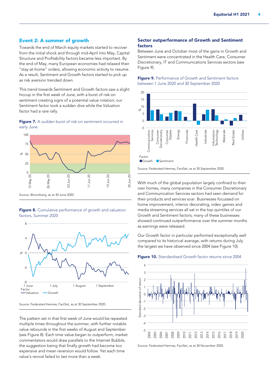## Event 2: A summer of growth

Towards the end of March equity markets started to recover from the initial shock and through mid-April into May, Capital Structure and Profitability factors became less important. By the end of May, many European economies had relaxed their "stay-at-home" orders, allowing economic activity to resume. As a result, Sentiment and Growth factors started to pick up as risk aversion trended down.

This trend towards Sentiment and Growth factors saw a slight hiccup in the first week of June, with a burst of risk-on sentiment creating signs of a potential value rotation; our Sentiment factor took a sudden dive while the Valuation factor had a rare rally.

Figure 7. A sudden burst of risk-on sentiment occurred in early June







Source: Federated Hermes, FactSet, as at 30 September 2020.

The pattern set in that first week of June would be repeated multiple times throughout the summer, with further notable value rebounds in the first weeks of August and September (see Figure 8). Each time value began to outperform, market commentators would draw parallels to the Internet Bubble, the suggestion being that finally growth had become too expensive and mean reversion would follow. Yet each time value's revival failed to last more than a week.

#### Sector outperformance of Growth and Sentiment factors

Between June and October most of the gains in Growth and Sentiment were concentrated in the Health Care, Consumer Discretionary, IT and Communications Services sectors (see Figure 9).





Source: Federated Hermes, FactSet, as at 30 September 2020.

With much of the global population largely confined to their own homes, many companies in the Consumer Discretionary and Communication Services sectors had seen demand for their products and services soar. Businesses focussed on home improvement, interior decorating, video games and media streaming services all sat in the top quintiles of our Growth and Sentiment factors; many of these businesses showed continued outperformance over the summer months as earnings were released.

Our Growth factor in particular performed exceptionally well compared to its historical average, with returns during July the largest we have observed since 2004 (see Figure 10).





Source: Federated Hermes, FactSet, as at 30 November 2020.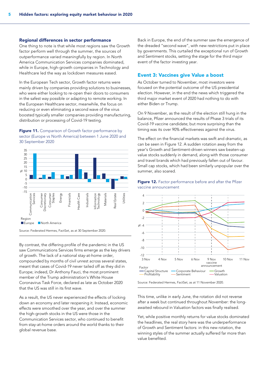#### Regional differences in sector performance

One thing to note is that while most regions saw the Growth factor perform well through the summer, the sources of outperformance varied meaningfully by region. In North America Communication Services companies dominated, while in Europe, high-growth companies in Technology and Healthcare led the way as lockdown measures eased.

In the European Tech sector, Growth factor returns were mainly driven by companies providing solutions to businesses, who were either looking to re-open their doors to consumers in the safest way possible or adapting to remote working. In the European Healthcare sector, meanwhile, the focus on reducing or even eliminating a second wave of the virus boosted typically smaller companies providing manufacturing, distribution or processing of Covid-19 testing.

## Figure 11. Comparison of Growth factor performance by sector (Europe vs North America) between 1 June 2020 and 30 September 2020



By contrast, the differing profile of the pandemic in the US saw Communications Services firms emerge as the key drivers of growth. The lack of a national stay-at-home order, compounded by months of civil unrest across several states, meant that cases of Covid-19 never tailed off as they did in Europe; indeed, Dr Anthony Fauci, the most prominent member of the Trump administration's White House Coronavirus Task Force, declared as late as October 2020 that the US was still in its first wave.

As a result, the US never experienced the effects of locking down an economy and later reopening it. Instead, economic effects were smoothed over the year, and over the summer the high-growth stocks in the US were those in the Communication Services sector, who continued to benefit from stay-at-home orders around the world thanks to their global revenue base.

Back in Europe, the end of the summer saw the emergence of the dreaded "second wave", with new restrictions put in place by governments. This curtailed the exceptional run of Growth and Sentiment stocks, setting the stage for the third major event of the factor investing year.

#### Event 3: Vaccines give Value a boost

As October turned to November, most investors were focused on the potential outcome of the US presidential election. However, in the end the news which triggered the third major market event of 2020 had nothing to do with either Biden or Trump.

On 9 November, as the result of the election still hung in the balance, Pfizer announced the results of Phase 3 trials of its Covid-19 vaccine candidate; but more surprising than the timing was its over 90% effectiveness against the virus.

The effect on the financial markets was swift and dramatic, as can be seen in Figure 12. A sudden rotation away from the year's Growth and Sentiment-driven winners saw beaten-up value stocks suddenly in demand, along with those consumer and travel brands which had previously fallen out of favour. Small cap stocks, which had been similarly unpopular over the summer, also soared.





Source: Federated Hermes, FactSet, as at 11 November 2020.

This time, unlike in early June, the rotation did not reverse after a week but continued throughout November: the longawaited rebound in Valuation factors was finally realised.

Yet, while positive monthly returns for value stocks dominated the headlines, the real story here was the underperformance of Growth and Sentiment factors: in this new rotation, the winning styles of the summer actually suffered far more than value benefited.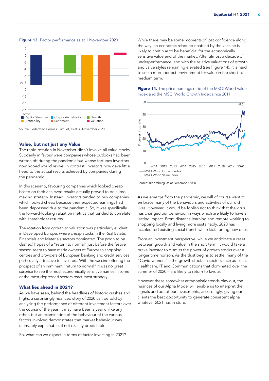

#### Figure 13. Factor performance as at 1 November 2020

#### Value, but not just any Value

The rapid rotation in November didn't involve all value stocks. Suddenly in favour were companies whose outlooks had been written off during the pandemic but whose fortunes investors now hoped would revive. In contrast, investors now gave little heed to the actual results achieved by companies during the pandemic.

In this scenario, favouring companies which looked cheap based on their achieved results actually proved to be a lossmaking strategy. Instead, investors tended to buy companies which looked cheap because their expected earnings had been depressed due to the pandemic. So, it was specifically the forward-looking valuation metrics that tended to correlate with shareholder returns.

The rotation from growth to valuation was particularly evident in Developed Europe, where cheap stocks in the Real Estate, Financials and Materials sectors dominated. The (soon to be dashed) hopes of a "return to normal" just before the festive season seem to have made owners of European shopping centres and providers of European banking and credit services particularly attractive to investors. With the vaccine offering the prospect of an imminent "return to normal" it was no great surprise to see the most economically sensitive names in some of the most depressed sectors react most strongly.

#### What lies ahead in 2021?

As we have seen, behind the headlines of historic crashes and highs, a surprisingly nuanced story of 2020 can be told by analysing the performance of different investment factors over the course of the year. It may have been a year unlike any other, but an examination of the behaviour of the various factors involved demonstrates that market behaviour was ultimately explainable, if not exactly predictable.

So, what can we expect in terms of factor investing in 2021?

While there may be some moments of lost confidence along the way, an economic rebound enabled by the vaccine is likely to continue to be beneficial for the economically sensitive value end of the market. After almost a decade of underperformance, and with the relative valuations of growth and value styles remaining elevated (see Figure 14), it is hard to see a more perfect environment for value in the short-tomedium term.

### Figure 14. The price-earnings ratio of the MSCI World Value Index and the MSCI World Growth Index since 2011



Source: Bloomberg, as at December 2020.

As we emerge from the pandemic, we will of course want to embrace many of the behaviours and activities of our old lives. However, it would be foolish not to think that the virus has changed our behaviour in ways which are likely to have a lasting impact. From distance learning and remote working to shopping locally and living more sustainably, 2020 has accelerated existing social trends while kickstarting new ones.

From an investment perspective, while we anticipate a reset between growth and value in the short term, it would take a brave investor to dismiss the power of growth stocks over a longer time horizon. As the dust begins to settle, many of the "Covid-winners" – the growth stocks in sectors such as Tech, Healthcare, IT and Communications that dominated over the summer of 2020 – are likely to return to favour.

However these somewhat antagonistic trends play out, the nuances of our Alpha Model will enable us to interpret the signals and adapt our investments, accordingly, giving our clients the best opportunity to generate consistent alpha whatever 2021 has in store.